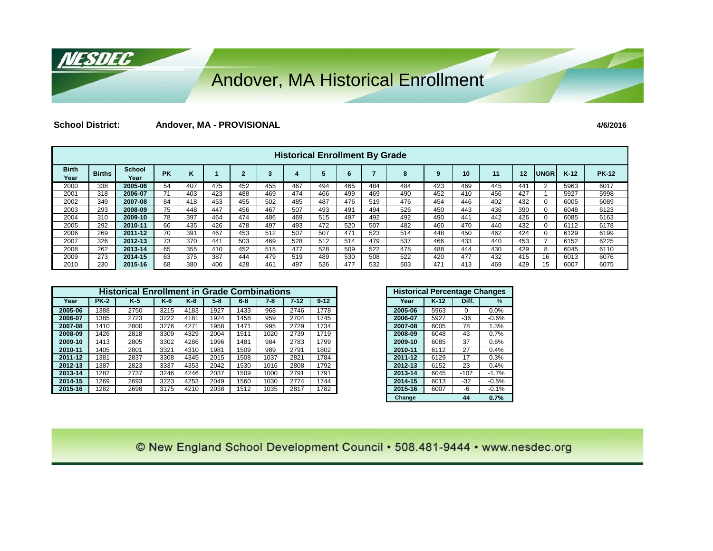#### Andover, MA Historical Enrollment

**School District: Andover, MA - PROVISIONAL 4/6/2016**

<u>NESDEC</u>

|                      | <b>Historical Enrollment By Grade</b> |                       |           |     |     |     |     |     |     |     |     |     |     |     |     |     |             |        |              |
|----------------------|---------------------------------------|-----------------------|-----------|-----|-----|-----|-----|-----|-----|-----|-----|-----|-----|-----|-----|-----|-------------|--------|--------------|
| <b>Birth</b><br>Year | <b>Births</b>                         | <b>School</b><br>Year | <b>PK</b> | n   |     |     |     |     |     | 6   |     | 8   | 9   | 10  | 11  | 12  | <b>UNGR</b> | $K-12$ | <b>PK-12</b> |
| 2000                 | 338                                   | 2005-06               | 54        | 407 | 475 | 452 | 455 | 467 | 494 | 465 | 484 | 484 | 423 | 469 | 445 | 441 |             | 5963   | 6017         |
| 2001                 | 318                                   | 2006-07               |           | 403 | 423 | 488 | 469 | 474 | 466 | 499 | 469 | 490 | 452 | 410 | 456 | 427 |             | 5927   | 5998         |
| 2002                 | 349                                   | 2007-08               | 84        | 418 | 453 | 455 | 502 | 485 | 487 | 476 | 519 | 476 | 454 | 446 | 402 | 432 |             | 6005   | 6089         |
| 2003                 | 293                                   | 2008-09               | 75        | 448 | 447 | 456 | 467 | 507 | 493 | 491 | 494 | 526 | 450 | 443 | 436 | 390 |             | 6048   | 6123         |
| 2004                 | 310                                   | 2009-10               | 78        | 397 | 464 | 474 | 486 | 469 | 515 | 497 | 492 | 492 | 490 | 441 | 442 | 426 |             | 6085   | 6163         |
| 2005                 | 292                                   | 2010-11               | 66        | 435 | 426 | 478 | 497 | 493 | 472 | 520 | 507 | 482 | 460 | 470 | 440 | 432 |             | 6112   | 6178         |
| 2006                 | 269                                   | 2011-12               | 70        | 391 | 467 | 453 | 512 | 507 | 507 | 471 | 523 | 514 | 448 | 450 | 462 | 424 |             | 6129   | 6199         |
| 2007                 | 326                                   | 2012-13               | 73        | 370 | 441 | 503 | 469 | 528 | 512 | 514 | 479 | 537 | 466 | 433 | 440 | 453 |             | 6152   | 6225         |
| 2008                 | 262                                   | 2013-14               | 65        | 355 | 410 | 452 | 515 | 477 | 528 | 509 | 522 | 478 | 488 | 444 | 430 | 429 |             | 6045   | 6110         |
| 2009                 | 273                                   | 2014-15               | 63        | 375 | 387 | 444 | 479 | 519 | 489 | 530 | 508 | 522 | 420 | 477 | 432 | 415 | 16          | 6013   | 6076         |
| 2010                 | 230                                   | 2015-16               | 68        | 380 | 406 | 428 | 461 | 497 | 526 | 477 | 532 | 503 | 471 | 413 | 469 | 429 | 15          | 6007   | 6075         |

|         | <b>Historical Enrollment in Grade Combinations</b><br><b>PK-2</b><br>$K-5$<br>$K-8$<br>$5 - 8$<br>$6 - 8$<br>$7 - 12$<br>$K-6$<br>$7-8$<br>2746<br>1388<br>2750<br>3215<br>4183<br>1927<br>1433<br>968<br>3222<br>1458<br>959<br>385<br>4181<br>1924<br>2704<br>2723<br>1410<br>3276<br>1471<br>995<br>2729<br>2800<br>4271<br>1958<br>3309<br>1426<br>4329<br>2004<br>1511<br>1020<br>2818<br>2739<br>1413<br>2805<br>3302<br>4286<br>1996<br>1481<br>984<br>2783<br>1405<br>3321<br>1981<br>1509<br>989<br>2791<br>2801<br>4310<br>3308<br>1508<br>1037<br>1381<br>2837<br>4345<br>2015<br>2821<br>3337<br>4353<br>1530<br>1016<br>2808<br>1387<br>2823<br>2042<br>1282<br>1509<br>1000<br>2737<br>3246<br>4246<br>2037<br>2791<br>1269<br>3223<br>4253<br>1560<br>1030<br>2774<br>2693<br>2049 |      |      |      |      |      |      |      |          |
|---------|---------------------------------------------------------------------------------------------------------------------------------------------------------------------------------------------------------------------------------------------------------------------------------------------------------------------------------------------------------------------------------------------------------------------------------------------------------------------------------------------------------------------------------------------------------------------------------------------------------------------------------------------------------------------------------------------------------------------------------------------------------------------------------------------------|------|------|------|------|------|------|------|----------|
| Year    |                                                                                                                                                                                                                                                                                                                                                                                                                                                                                                                                                                                                                                                                                                                                                                                                   |      |      |      |      |      |      |      | $9 - 12$ |
| 2005-06 |                                                                                                                                                                                                                                                                                                                                                                                                                                                                                                                                                                                                                                                                                                                                                                                                   |      |      |      |      |      |      |      | 1778     |
| 2006-07 |                                                                                                                                                                                                                                                                                                                                                                                                                                                                                                                                                                                                                                                                                                                                                                                                   |      |      |      |      |      |      |      | 1745     |
| 2007-08 |                                                                                                                                                                                                                                                                                                                                                                                                                                                                                                                                                                                                                                                                                                                                                                                                   |      |      |      |      |      |      |      | 1734     |
| 2008-09 |                                                                                                                                                                                                                                                                                                                                                                                                                                                                                                                                                                                                                                                                                                                                                                                                   |      |      |      |      |      |      |      | 1719     |
| 2009-10 |                                                                                                                                                                                                                                                                                                                                                                                                                                                                                                                                                                                                                                                                                                                                                                                                   |      |      |      |      |      |      |      | 1799     |
| 2010-11 |                                                                                                                                                                                                                                                                                                                                                                                                                                                                                                                                                                                                                                                                                                                                                                                                   |      |      |      |      |      |      |      | 1802     |
| 2011-12 |                                                                                                                                                                                                                                                                                                                                                                                                                                                                                                                                                                                                                                                                                                                                                                                                   |      |      |      |      |      |      |      | 1784     |
| 2012-13 |                                                                                                                                                                                                                                                                                                                                                                                                                                                                                                                                                                                                                                                                                                                                                                                                   |      |      |      |      |      |      |      | 1792     |
| 2013-14 |                                                                                                                                                                                                                                                                                                                                                                                                                                                                                                                                                                                                                                                                                                                                                                                                   |      |      |      |      |      |      |      | 1791     |
| 2014-15 |                                                                                                                                                                                                                                                                                                                                                                                                                                                                                                                                                                                                                                                                                                                                                                                                   |      |      |      |      |      |      |      | 1744     |
| 2015-16 | 1282                                                                                                                                                                                                                                                                                                                                                                                                                                                                                                                                                                                                                                                                                                                                                                                              | 2698 | 3175 | 4210 | 2038 | 1512 | 1035 | 2817 | 1782     |

| <b>Historical Percentage Changes</b> |        |        |               |
|--------------------------------------|--------|--------|---------------|
| Year                                 | $K-12$ | Diff.  | $\frac{0}{0}$ |
| 2005-06                              | 5963   | 0      | 0.0%          |
| 2006-07                              | 5927   | $-36$  | $-0.6%$       |
| 2007-08                              | 6005   | 78     | 1.3%          |
| 2008-09                              | 6048   | 43     | 0.7%          |
| 2009-10                              | 6085   | 37     | 0.6%          |
| 2010-11                              | 6112   | 27     | 0.4%          |
| 2011-12                              | 6129   | 17     | 0.3%          |
| 2012-13                              | 6152   | 23     | 0.4%          |
| 2013-14                              | 6045   | $-107$ | $-1.7%$       |
| 2014-15                              | 6013   | $-32$  | $-0.5%$       |
| 2015-16                              | 6007   | -6     | $-0.1%$       |
| Change                               |        | 44     | 0.7%          |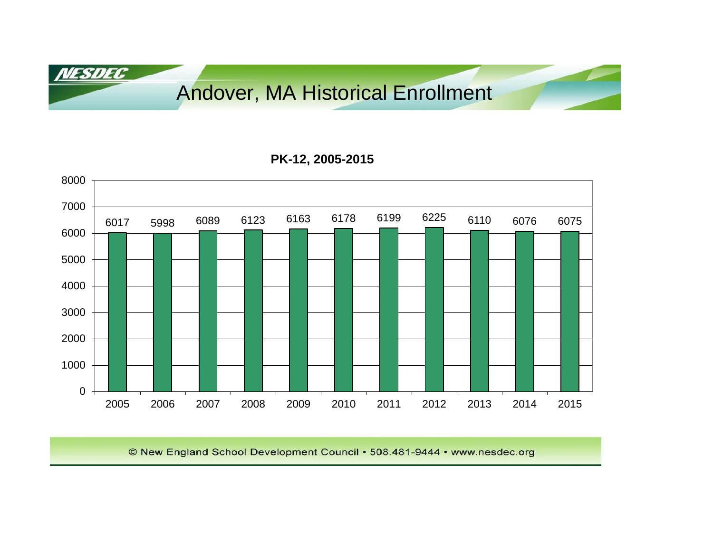Andover, MA Historical Enrollment

**NESDEC** 

#### **PK-12, 2005-2015**

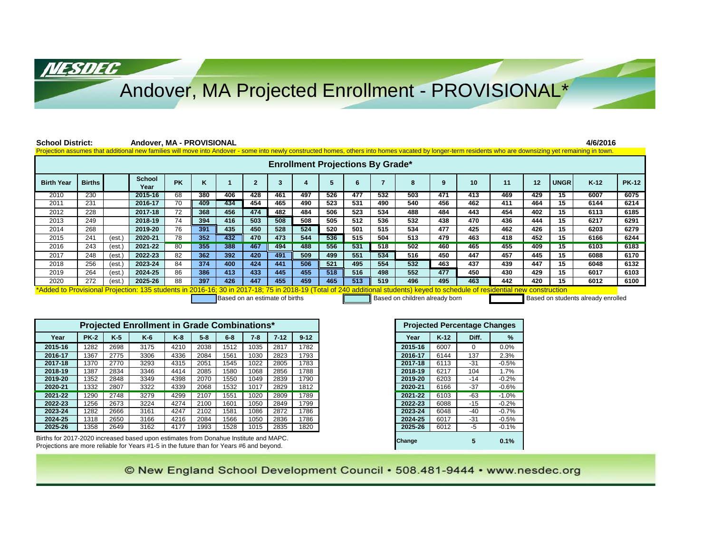### Andover, MA Projected Enrollment - PROVISIONAL\*

NESDEC

| <b>School District:</b>                                                                                                                                 |                                                                                                                                                                                                         |        | Andover, MA - PROVISIONAL                                                                                                                                                                                |                 |         |       |                |          |                         |     |                                         |                |             |        |                                     |         |     |             | 4/6/2016 |              |
|---------------------------------------------------------------------------------------------------------------------------------------------------------|---------------------------------------------------------------------------------------------------------------------------------------------------------------------------------------------------------|--------|----------------------------------------------------------------------------------------------------------------------------------------------------------------------------------------------------------|-----------------|---------|-------|----------------|----------|-------------------------|-----|-----------------------------------------|----------------|-------------|--------|-------------------------------------|---------|-----|-------------|----------|--------------|
|                                                                                                                                                         |                                                                                                                                                                                                         |        | Projection assumes that additional new families will move into Andover - some into newly constructed homes, others into homes vacated by longer-term residents who are downsizing yet remaining in town. |                 |         |       |                |          |                         |     |                                         |                |             |        |                                     |         |     |             |          |              |
|                                                                                                                                                         |                                                                                                                                                                                                         |        |                                                                                                                                                                                                          |                 |         |       |                |          |                         |     | <b>Enrollment Projections By Grade*</b> |                |             |        |                                     |         |     |             |          |              |
| <b>Birth Year</b>                                                                                                                                       | <b>Births</b>                                                                                                                                                                                           |        | School<br>Year                                                                                                                                                                                           | <b>PK</b>       | ĸ       | -1    | $\overline{2}$ | 3        | $\overline{\mathbf{4}}$ | 5   | 6                                       | $\overline{7}$ | 8           | 9      | 10                                  | 11      | 12  | <b>UNGR</b> | $K-12$   | <b>PK-12</b> |
| 2010                                                                                                                                                    | 230                                                                                                                                                                                                     |        | 2015-16                                                                                                                                                                                                  | 68              | 380     | 406   | 428            | 461      | 497                     | 526 | 477                                     | 532            | 503         | 471    | 413                                 | 469     | 429 | 15          | 6007     | 6075         |
| 2011                                                                                                                                                    | 231                                                                                                                                                                                                     |        | 2016-17                                                                                                                                                                                                  | $\overline{70}$ | 409     | 434   | 454            | 465      | 490                     | 523 | 531                                     | 490            | 540         | 456    | 462                                 | 411     | 464 | 15          | 6144     | 6214         |
| 2012                                                                                                                                                    | 228                                                                                                                                                                                                     |        | 2017-18                                                                                                                                                                                                  | $\overline{72}$ | 368     | 456   | 474            | 482      | 484                     | 506 | 523                                     | 534            | 488         | 484    | 443                                 | 454     | 402 | 15          | 6113     | 6185         |
| 2013                                                                                                                                                    | 249                                                                                                                                                                                                     |        | 2018-19                                                                                                                                                                                                  | 74              | 394     | 416   | 503            | 508      | 508                     | 505 | 512                                     | 536            | 532         | 438    | 470                                 | 436     | 444 | 15          | 6217     | 6291         |
| 2014                                                                                                                                                    | 268                                                                                                                                                                                                     |        | 2019-20                                                                                                                                                                                                  | 76              | 391     | 435   | 450            | 528      | 524                     | 520 | 501                                     | 515            | 534         | 477    | 425                                 | 462     | 426 | 15          | 6203     | 6279         |
| 2015                                                                                                                                                    | 241                                                                                                                                                                                                     | (est.) | 2020-21                                                                                                                                                                                                  | 78              | 352     | 432   | 470            | 473      | 544                     | 536 | 515                                     | 504            | 513         | 479    | 463                                 | 418     | 452 | 15          | 6166     | 6244         |
| 2016                                                                                                                                                    | 243                                                                                                                                                                                                     | (est.) | 2021-22                                                                                                                                                                                                  | 80              | 355     | 388   | 467            | 494      | 488                     | 556 | 531                                     | 518            | 502         | 460    | 465                                 | 455     | 409 | 15          | 6103     | 6183         |
| 2017                                                                                                                                                    | 248                                                                                                                                                                                                     | (est.  | 2022-23                                                                                                                                                                                                  | 82              | 362     | 392   | 420            | 491      | 509                     | 499 | 551                                     | 534            | 516         | 450    | 447                                 | 457     | 445 | 15          | 6088     | 6170         |
| 2018                                                                                                                                                    | 256                                                                                                                                                                                                     | (est.  | 2023-24                                                                                                                                                                                                  | 84              | 374     | 400   | 424            | 441      | 506                     | 521 | 495                                     | 554            | 532         | 463    | 437                                 | 439     | 447 | 15          | 6048     | 6132         |
| 2019                                                                                                                                                    | 264                                                                                                                                                                                                     | (est.) | 2024-25                                                                                                                                                                                                  | 86              | 386     | 413   | 433            | 445      | 455                     | 518 | 516                                     | 498            | 552         | 477    | 450                                 | 430     | 429 | 15          | 6017     | 6103         |
| 426<br>447<br>455<br>459<br>519<br>272<br>88<br>397<br>465<br>513<br>496<br>495<br>463<br>442<br>420<br>15<br>2020<br>2025-26<br>6012<br>6100<br>(est.) |                                                                                                                                                                                                         |        |                                                                                                                                                                                                          |                 |         |       |                |          |                         |     |                                         |                |             |        |                                     |         |     |             |          |              |
|                                                                                                                                                         |                                                                                                                                                                                                         |        | Projected Enrollment in Grade Combinations*                                                                                                                                                              |                 |         |       |                |          |                         |     |                                         |                |             |        | <b>Projected Percentage Changes</b> |         |     |             |          |              |
| Year                                                                                                                                                    | <b>PK-2</b>                                                                                                                                                                                             | $K-5$  | $K-6$                                                                                                                                                                                                    | $K-8$           | $5 - 8$ | $6-8$ | $7 - 8$        | $7 - 12$ | $9 - 12$                |     |                                         |                | Year        | $K-12$ | Diff.                               | %       |     |             |          |              |
| 2015-16                                                                                                                                                 | 1282                                                                                                                                                                                                    | 2698   | 3175                                                                                                                                                                                                     | 4210            | 2038    | 1512  | 1035           | 2817     | 1782                    |     |                                         |                | 2015-16     | 6007   | $\mathbf 0$                         | 0.0%    |     |             |          |              |
| 2016-17                                                                                                                                                 | 1367                                                                                                                                                                                                    | 2775   | 3306                                                                                                                                                                                                     | 4336            | 2084    | 1561  | 1030           | 2823     | 1793                    |     |                                         |                | 2016-17     | 6144   | 137                                 | 2.3%    |     |             |          |              |
| 2017-18                                                                                                                                                 | 1370                                                                                                                                                                                                    | 2770   | 3293                                                                                                                                                                                                     | 4315            | 2051    | 1545  | 1022           | 2805     | 1783                    |     |                                         |                | 2017-18     | 6113   | $-31$                               | $-0.5%$ |     |             |          |              |
| 2018-19                                                                                                                                                 | 1387                                                                                                                                                                                                    | 2834   | 3346                                                                                                                                                                                                     | 4414            | 2085    | 1580  | 1068           | 2856     | 1788                    |     |                                         |                | 2018-19     | 6217   | 104                                 | 1.7%    |     |             |          |              |
| 2019-20                                                                                                                                                 | 1352                                                                                                                                                                                                    | 2848   | 3349                                                                                                                                                                                                     | 4398            | 2070    | 1550  | 1049           | 2839     | 1790                    |     |                                         |                | 2019-20     | 6203   | $-14$                               | $-0.2%$ |     |             |          |              |
| 2020-21                                                                                                                                                 | 1332                                                                                                                                                                                                    | 2807   | 3322                                                                                                                                                                                                     | 4339            | 2068    | 1532  | 1017           | 2829     | 1812                    |     |                                         |                | 2020-21     | 6166   | $-37$                               | $-0.6%$ |     |             |          |              |
| 2021-22                                                                                                                                                 | 1290                                                                                                                                                                                                    | 2748   | 3279                                                                                                                                                                                                     | 4299            | 2107    | 1551  | 1020           | 2809     | 1789                    |     |                                         |                | $2021 - 22$ | 6103   | $-63$                               | $-1.0%$ |     |             |          |              |
| 2022-23                                                                                                                                                 | 1256                                                                                                                                                                                                    | 2673   | 3224                                                                                                                                                                                                     | 4274            | 2100    | 1601  | 1050           | 2849     | 1799                    |     |                                         |                | 2022-23     | 6088   | $-15$                               | $-0.2%$ |     |             |          |              |
| 2023-24                                                                                                                                                 | 1282                                                                                                                                                                                                    | 2666   | 3161                                                                                                                                                                                                     | 4247            | 2102    | 1581  | 1086           | 2872     | 1786                    |     |                                         |                | 2023-24     | 6048   | $-40$                               | $-0.7%$ |     |             |          |              |
| 2024-25                                                                                                                                                 | 1318                                                                                                                                                                                                    | 2650   | 3166                                                                                                                                                                                                     | 4216            | 2084    | 1566  | 1050           | 2836     | 1786                    |     |                                         |                | 2024-25     | 6017   | $-31$                               | $-0.5%$ |     |             |          |              |
| 2025-26                                                                                                                                                 | 1358                                                                                                                                                                                                    | 2649   | 3162                                                                                                                                                                                                     | 4177            | 1993    | 1528  | 1015           | 2835     | 1820                    |     |                                         |                | 2025-26     | 6012   | $-5$                                | $-0.1%$ |     |             |          |              |
|                                                                                                                                                         | Births for 2017-2020 increased based upon estimates from Donahue Institute and MAPC.<br>5<br>0.1%<br>Change<br>Projections are more reliable for Years #1-5 in the future than for Years #6 and beyond. |        |                                                                                                                                                                                                          |                 |         |       |                |          |                         |     |                                         |                |             |        |                                     |         |     |             |          |              |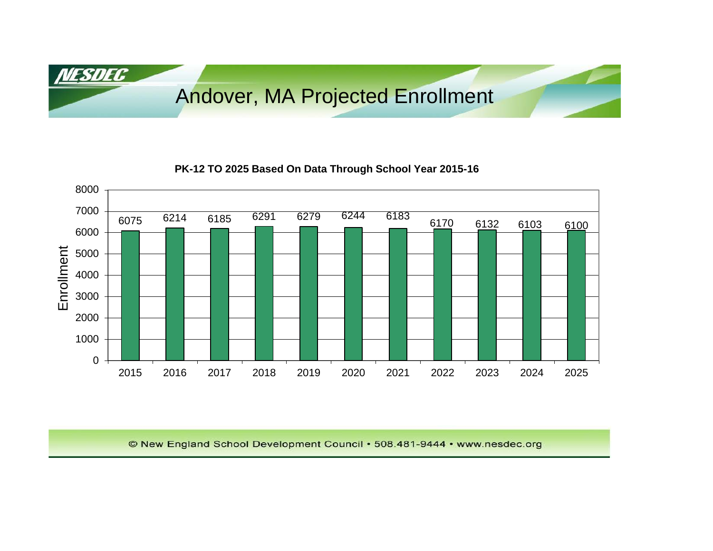Andover, MA Projected Enrollment

<u>NESDEC</u>

#### **PK-12 TO 2025 Based On Data Through School Year 2015-16**

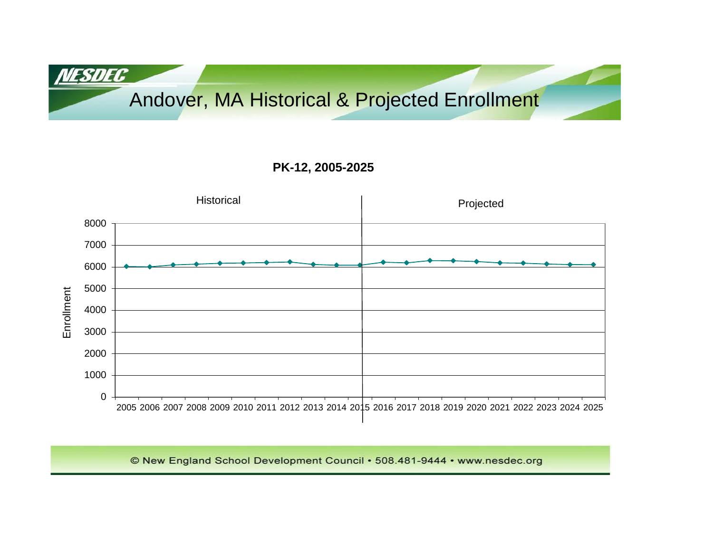## Andover, MA Historical & Projected Enrollment

NESDEC

#### **PK-12, 2005-2025**

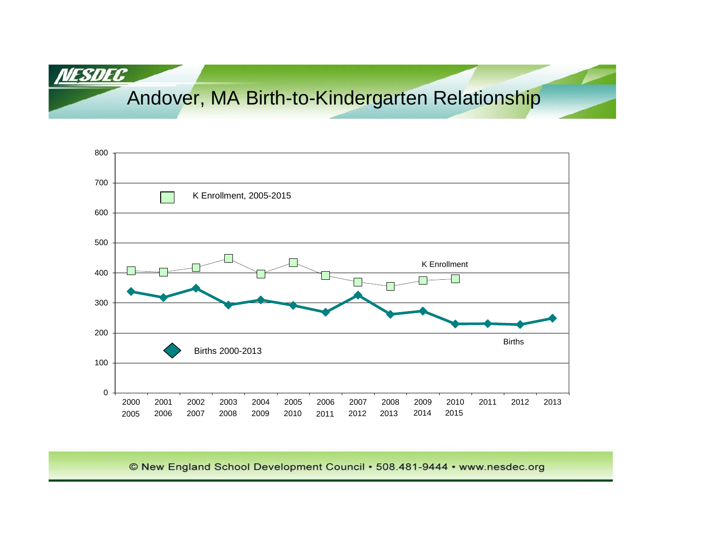# Andover, MA Birth-to-Kindergarten Relationship

NESDEC